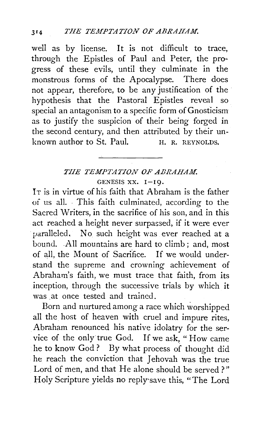well as by license. It is not difficult to trace, through the Epistles of Paul and Peter, the progress of these evils, until they culminate in the monstrous forms of the Apocalypse. There does not appear, therefore, to be any justification of the hypothesis that the Pastoral Epistles reveal so special an antagonism to a specific form of Gnosticism as to justify the suspicion of their being forged in the second century, and then attributed by their unknown author to St. Paul.  $H. R. R EYNOLDS.$ 

## *TIIE TEMPTATION OF AERAHAM.*  GENESIS XX. I-19.

IT is in virtue of his faith that Abraham is the father of us all. . This faith culminated, according to the Sacred Writers, in the sacrifice of his son, and in this act reached a height never surpassed, if it were ever paralleled, No such height was ever reached at a bound. .All mountains are hard to climb ; and, most of all, the Mount of Sacrifice. If we would understand the supreme and crowning achievement of Abraham's faith, we must trace that faith, from its inception, through the successive trials by which it was at once tested and trained.

Born and nurtured among a race which worshipped all the host of heaven with cruel and impure rites, Abraham renounced his native idolatry for the service of the only true God. If we ask, "How came he to know God ? By what process of thought did he reach the conviction that Jehovah was the true Lord of men, and that He alone should be served ? " Holy Scripture yields no reply· save this, "The Lord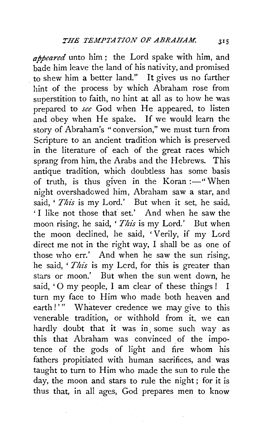*appeared* unto him ; the Lord spake with him, and bade him leave the land of his nativity, and promised to shew him a better land." It gives us no further hint of the process by which Abraham rose from superstition to faith, no hint at all as to how he was prepared to *see* God when He appeared, to listen and obey when He spake. If we would learn the story of Abraham's ''conversion," we must turn from Scripture to an ancient tradition which is preserved in the literature of each of the great races which sprang from him, the Arabs and the Hebrews. This antique tradition, which doubtless has some basis of truth, is thus given in the Koran: $-$ " When night overshadowed him, Abraham saw a star, and said, ' *This* is my Lord.' But when it set, he said, ' I like not those thaf set.' And when he saw the moon rising, he said, ' *This* is my Lord.' But when the moon declined, he said, 'Verily, if my Lord direct me not in the right way, I shall be as one of those who err.' And when he saw the sun rising, he said, '*This* is my Lcrd, for this is greater than stars or moon.' But when the sun went down, he said, ' $O$  my people, I am clear of these things ! I turn my face to Him who made both heaven and earth!" Whatever credence we may give to this venerable tradition, or withhold from it, we can hardly doubt that it was in some such way as this that Abraham was convinced of the impotence of the gods of light and fire whom his fathers propitiated with human sacrifices, and was taught to turn to Him who made the sun to rule the day, the moon and stars to rule the night ; for it is thus that, in all ages, God prepares men to know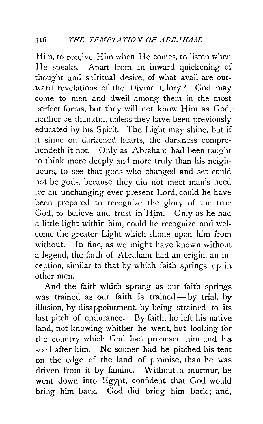Him, to receive Him when He comes, to listen when IIe speaks. Apart from an inward quickening of thought and spiritual desire, of what avail are outward revelations of the Divine Glory? God may come to men and dwell among them in the most perfect forms, but they will not know Him as God, neither be thankful, unless they have been previously educated by his Spirit. The Light may shine, but if it shine on darkened hearts, the darkness comprehendeth it not. Only as Abraham had been taught to think more deeply and more truly than his neighbours, to see that gods who changed and set could not be gods, because they did not meet man's need for an unchanging ever-present Lord, could he have been prepared to recognize the glory of the true God, to believe and trust in Him. Only as he had a little light within him, could he recognize and welcome the greater Light which shone upon him from without. In fine, as we might have known without a legend, the faith of Abraham had an origin, an inception, similar to that by which faith springs up in other men.

And the faith which sprang as our faith springs was trained as our faith is trained- by trial, by illusion, by disappointment, by being strained to its last pitch of endurance. By faith, he left his native land, not knowing whither he went, but looking for the country which God had promised him and his seed after him. No sooner had he pitched his tent on the edge of the land of promise, than he was driven from it by famine. Without a murmur, he went down into Egypt, confident that God would bring him back. God did bring him back; and,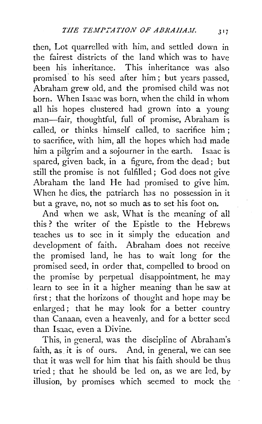then, Lot quarrelled with him, and settled down in the fairest districts of the land which was to have been his inheritance. This inheritance was also promised' to his seed after him ; but years passed, Abraham grew old, and the promised child was not born. When Isaac was born, when the child in whom all his hopes clustered had grown into a young man-fair, thoughtful, full of promise, Abraham is called, or thinks· himself called, to sacrifice him; to sacrifice, with him, all the hopes which had made him a pilgrim and a sojourner in the earth. Isaac is spared, given back, in a figure, from the dead; but still the promise is not fulfilled; God does not give Abraham the land He had promised to give him. When he dies, the patriarch has no possession in it but a grave, no, not so much as to set his foot on.

And when we ask, What is the meaning of all this? the writer of the Epistle to the Hebrews teaches us to see in it simply the education and development of faith. Abraham does not receive the promised land, he has to wait long for the promised seed, in order that, compelled to brood on the promise by perpetual disappointment, he may learn to see in it a higher meaning than he saw at first; that the horizons of thought and hope may be enlarged; that he may look for a better country than Canaan, even a heavenly, and for a better seed than Isaac, even a Divine.

This, in general, was the discipline of Abraham's faith, as it is of ours. And, in general, we can see that it was well for him that his faith should be thus tried ; that he should be led on, as we are led, by illusion, by promises which seemed to mock the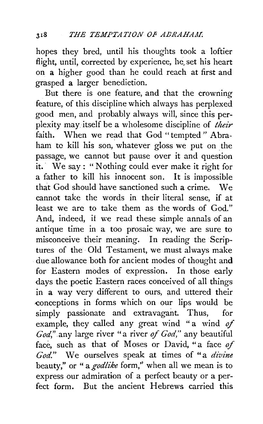hopes they bred, until his thoughts took a loftier flight, until, corrected by experience, he set his heart on a higher good than he could reach at first and grasped a larger benediction.

But there is one feature, and that the crowning feature, of this discipline which always has perplexed good men, and probably always will, since this perplexity may itself be a wholesome discipline of *their*  faith. When we read that God "tempted" Abraham to kill his son, whatever gloss we put on the passage, we cannot but pause over it and question it. We say : " Nothing could ever make it right for a father to kill his innocent son. It is impossible that God should have sanctioned such a crime. We cannot take the words in their literal sense, if at least we arc to take them as the words of God." And, indeed, if we read these simple annals of an antique time in a too prosaic way, we are sure to misconceive their meaning. In reading the Scriptures of the Old Testament, we must always make due allowance both for ancient modes of thought and for Eastern modes of expression. In those early days the poetic Eastern races conceived of all things in a way very different to ours, and uttered their conceptions in forms which on our lips would be simply passionate and extravagant. Thus, for example, they called any great wind "a wind of *God,".any* large river "a river *of God,"* any beautiful face, such as that of Moses or David, "a face *of God."* We ourselves speak at times of "a *divine*  beauty," or " a *godlike* form," when all we mean is to express our admiration of a perfect beauty or a perfect form. But the ancient Hebrews carried this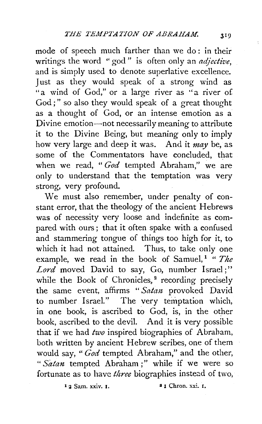mode of speech much farther than we do : in their writings the word "god" is often only an *adjective*, and is simply used to denote superlative excellence. Just as they would speak of a strong wind as "a wind of God," or a large river as ''a river of God;" so also they would speak of a great thought as a thought of God, or an intense emotion as a Divine emotion-not necessarily meaning to attribute it to the Divine Being, but meaning only to imply how very large and deep it was. And it *may* be, as some of the Commentators have concluded, that when we read, " *God* tempted Abraham," we are only to understand that the temptation was very strong, very profound.

We must also remember, under penalty of constant error, that the theology of the ancient Hebrews was of necessity very loose and indefinite as compared with ours; that it often spake with a confused and stammering tongue of things too high for it, to which it had not attained. Thus, to take only one example, we read in the book of Samuel,<sup>1</sup> " The Lord moved David to say, Go, number Israel;" while the Book of Chronicles,<sup>2</sup> recording precisely the same event, affirms "Satan provoked David to number Israel." The very temptation which, in one book, is ascribed to God, is, in the other book, ascribed to the devil. And it is very possible that if we had *two* inspired biographies of Abraham, both written by ancient Hebrew scribes, one of them would say, " *God* tempted Abraham," and the other, *"Satan* tempted Abraham ;" while if we were so fortunate as to have *three* biographies instead of two,

 $\frac{1}{2}$  2 Sam. xxiv. 1.  $\frac{1}{2}$   $\frac{1}{2}$  Chron. xxi. 1.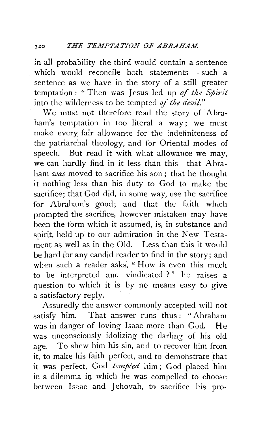in all probability the third would contain a sentence which would reconcile both statements  $-$  such a sentence as we have in the story of a still greater temptation : " Then was Jesus led up *of the Spirit*  into the wilderness to be tempted *of the devil."* 

We must not therefore read the story of Abraham's temptation in too literal a way; we must make every fair allowance for the indefiniteness of the patriarchal theology, and for Oriental modes of speech. But read it with what allowance we may, we can hardly find in it less than this-that Abraham *was* moved to sacrifice his son; that he thought it nothing less than his duty to God to make the sacrifice; that God did, in some way, use the sacrifice for Abraham's good; and that the faith which prompted the sacrifice, however mistaken may have been the form which it assumed, is, in substance and spirit, held up to our admiration in the New Testament as well as in the Old. Less than this it would be hard for any candid reader to find in the story; and when such a reader asks, "How is even this much to be interpreted and vindicated ?" he raises a question to which it is by no means easy to give a satisfactory reply.

Assuredly the answer commonly accepted will not satisfy him. That answer runs thus: '' Abraham was in danger of loving Isaac more than God. He was unconsciously idolizing the darling of his old age. To shew him his sin, and to recover him from it, to make his faith perfect, and to demonstrate that it was perfect, God *tempted* him; God placed him in a dilemma in which he was compelled to choose between Isaac and Jehovah, to sacrifice his pro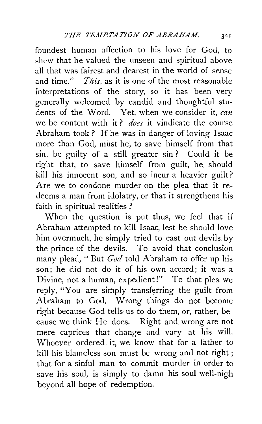foundest human affection to his love for God, to shew that he valued the unseen and spiritual above all that was fairest and dearest in the world of sense and time." *This,* as it is one of the most reasonable interpretations of the story, so it has been very generally welcomed by candid and thoughtful students of the Word. Yet, when we consider it, can we be content with it ? *does* it vindicate the course Abraham took? If he was in danger of loving Isaac more than God, must he, to save himself from that sin, be guilty of a still greater sin ? Could it be right that, to save himself from guilt, he should kill his innocent son, and so incur a heavier guilt? Are we to condone murder on the plea that it redeems a man from idolatry, or that it strengthens his faith in spiritual realities ?

When the question is put thus, we feel that if Abraham attempted to kill Isaac, lest he should love him overmuch, he simply tried to cast out devils by the prince of the devils. To avoid that conclusion many plead, "But *God* told Abraham to offer up his son; he did not do it of his own accord; it was a Divine, not a human, expedient!" To that plea we reply, "You are simply transferring the guilt from Abraham to God. Wrong things do not become right because God tells us to do them, or, rather, because we think He does. Right and wrong are not mere caprices that change and vary at his will. Whoever ordered it, we know that for a father to kill his blameless son must be wrong and not right ; that for a sinful man to commit murder in order to save his soul, is simply to damn his soul well-nigh beyond all hope of redemption.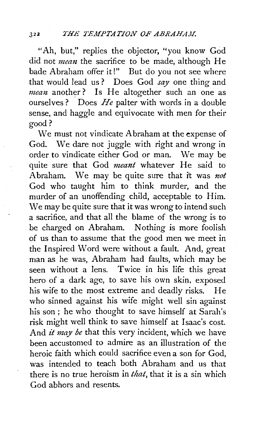"Ah, but," replies the objector, "you know God did not *memt* the sacrifice to be made, although He bade Abraham offer it!" But do you not see where that would lead us ? Does God *say* one thing and *mean* another? Is He altogether such an one as ourselves? Does *He* palter with words in a double sense, and haggle and equivocate with men for their good?

We must not vindicate Abraham at the expense of God. We dare not juggle with right and wrong in order to vindicate either God or man. We may be quite sure that God *meant* whatever He said to Abraham. We may be quite sure that it was *not*  God who taught him to think murder, and the murder of an unoffending child, acceptable to Him. We may be quite sure that it was wrong to intend such a sacrifice, and that all the blame of the wrong is to be charged on Abraham. Nothing is more foolish of us than to assume that the good men we meet in the Inspired Word were without a fault. And, great man as he was, Abraham had faults, which may be seen without a lens. Twice in his life this great hero of a dark age, to save his own skin, exposed his wife to the most extreme and deadly risks. He who sinned against his wife might well sin against his son; he who thought to save himself at Sarah's risk might well think to save himself at Isaac's cost. And *it may be* that this very incident, which we have been accustomed to admire as an illustration of the heroic faith which could sacrifice even a son for God, was intended to teach both Abraham and us that there is no true heroism in *that,* that it is a sin which God abhors and resents.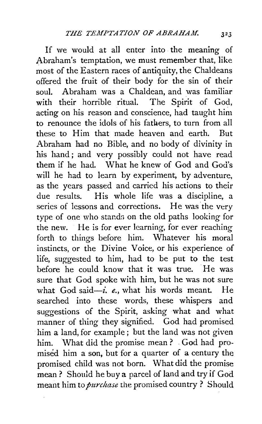If we would at all enter into the meaning of Abraham's temptation, we must remember that, like most of the Eastern races of antiquity, the Chaldeans offered the fruit of their body for the sin of their soul. Abraham was a Chaldean, and was familiar with their horrible ritual. The Spirit of God, acting on his reason and conscience, had taught him to renounce the idols of his fathers, to turn from all these to Him that made heaven and earth. But Abraham had no Bible, and no body of divinity in his hand; and very possibly could not have read them if he had. What he knew of God and God's will he had to learn by experiment, by adventure, as the years passed and carried his actions to their due results. His whole life was a discipline, a series of lessons and corrections. He was the very type of one who stands on the old paths looking for the new. He is for ever learning, for ever reaching forth to things before him. Whatever his moral instincts, or the Divine Voice, or his experience of life, suggested to him, had to be put to the test before he could know that it was true. He was sure that God spoke with him, but he was not sure what God said-i. e., what his words meant. He searched into these words, these whispers and suggestions of the Spirit, asking what and what manner of thing they signified. God had promised him a land, for example; but the land was not given him. What did the promise mean ? . God had promised him a son, but for a quarter of a century the promised child was not born. What did the promise mean ? Should he buy a parcel of land and try if God meant him to *purchase* the promised country ? Should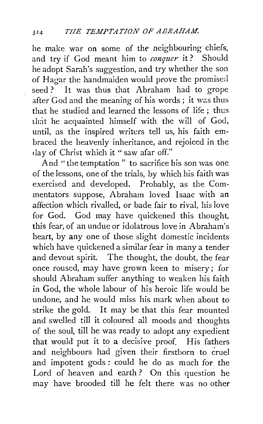he make war on some of the neighbouring chiefs, and try if· God meant him to *conquer* it? Should he adopt Sarah's suggestion, and try whether the son of Hagar the handmaiden would prove the promised seed? It was thus that Abraham had to grope after God and the meaning of his words; it was thus that he studied and learned the lessons of life ; thus that he acquainted himself with the will of God, until, as the inspired writers tell us, his faith embraced the heavenly inheritance, and rejoiced in the day of Christ which it "saw afar off."

And "the temptation" to sacrifice his son was one of the lessons, one of the trials, by which his faith was exercised and developed. Probably, as the Commentators suppose, Abraham loved Isaac with an affection which rivalled, or bade fair to rival, his love for God. God may have quickened this thought, this fear, of an undue or idolatrous love in Abraham's heart, by any one of those slight domestic incidents which have quickened a similar fear in many a tender and devout spirit. The thought, the doubt, the fear once roused, may have grown keen to misery ; for should Abraham suffer anything to weaken his faith in God, the whole labour of his heroic life would be undone, and he would miss his mark when about to strike the gold. It may be that this fear mounted and swelled till it coloured all moods and thoughts of the soul, till he was ready to adopt any expedient that would put it to a decisive proof. His fathers and neighbours had given their firstborn to cruel and impotent gods ; could he do as much for the Lord of heaven and earth ? On this question he may have brooded till he felt there was no other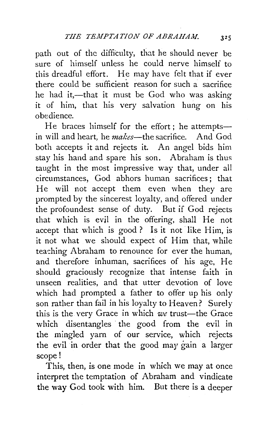path out of the difficulty, that he should never be sure of himself unless he could nerve himself to this dreadful effort. He may have felt that if ever there could be sufficient reason for such a sacrifice he had it,-that it must be God who was asking it of him, that his very salvation hung on his obedience.

He braces himself for the effort; he attemptsin will and heart, he *makes-the* sacrifice. And God both accepts it and rejects it. An angel bids him stay his hand and spare his son. Abraham is thus taught in the most impressive way that, under all circumstances, God abhors human sacrifices ; that He will not accept them even when they are prompted by the sincerest loyalty, and offered under the profoundest sense of duty. But if God rejects that which is evil in the offering, shall He not accept that which is good ? Is it not like Him, is it not what we should expect of Him that, while teaching Abraham to renounce for ever the human, and therefore inhuman, sacrifices of his age, He should graciously recognize that intense faith in unseen realities, and that utter devotion of love which had prompted a father to offer up his only son rather than fail in his loyalty to Heaven? Surely this is the very Grace in which we trust-the Grace which disentangles the good from the evil in the mingled yarn of our service, which rejects the evil in order that the good may gain a larger scope!

This, then, is one mode in which we may at once interpret the temptation of Abraham and vindicate the way God took with him. But there is a deeper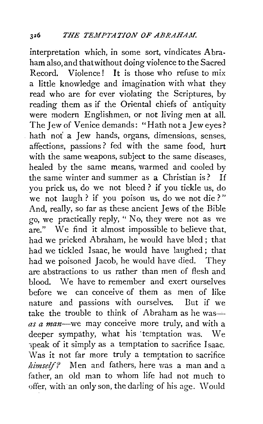interpretation which, in some sort, vindicates Abraham also, and that without doing violence to the Sacred Record. Violence! It is those who refuse to mix a little knowledge and imagination with what they read who are for ever violating the Scriptures, by reading them as if the Oriental chiefs of antiquity were modern Englishmen, or not living men at all. The Iew of Venice demands: "Hath not a Jew eyes? hath not' a Jew hands, organs, dimensions, senses, affections, passions ? fed with the same food, hurt with the same weapons, subject to the same diseases, healed by the same means, warmed and cooled by the same winter and summer as a Christian is ? If you prick us, do we not bleed ? if you tickle us, do we not laugh ? if you poison us, do we not die ? " And, really, so far as these ancient Jews of the Bible go, we practically reply, " No, they were not as we are." We find it almost impossible to believe that, had we pricked Abraham, he would have bled ; that had we tickled Isaac, he would have laughed; that had we poisoned Jacob, he would have died. They are abstractions to us rather than men of flesh and blood. We have to remember and exert ourselves before we can conceive of them as men of like nature and passions with ourselves. But if we take the trouble to think of Abraham as he was--*as a man-we* may conceive more truly, and with a deeper sympathy, what his ·temptation was. We >peak of it simply as a temptation to sacrifice Isaac. Was it not far more truly a temptation to sacrifice *limself?* Men and fathers, here was a man and a father, an old man to whom life had not much to offer, with an only son, the darling of his age. \Vould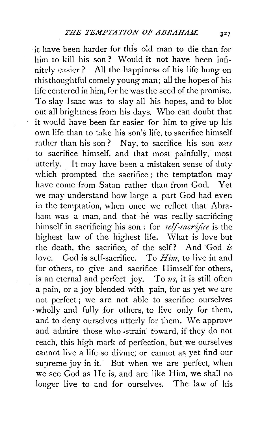it have been harder for this old man to die than for him to kill his son ? Would it not have been infinitely easier? All the happiness of his life hung on this thoughtful comely young man; all the hopes of his life centered in him, for he was the seed of the promise. To slay Isaac was to slay all his hopes, and to blot out all brightness from his days. Who can doubt that it would have been far easier for him to give up his own life than to take his son's life, to sacrifice himself rather than his son ? Nay, to sacrifice his son *was*  to sacrifice himself, and that most painfully, most utterly. It may have been a mistaken sense of duty which prompted the sacrifice; the temptation may have come from Satan rather than from God. Yet we may understand how large a part God had even in the temptation, when once we reflect that Abraham was a man, and that he was really sacrificing himself in sacrificing his son : for *self-sacrifice* is the highest law of the highest life. What is love but the death, the sacrifice, of the self? And God *is*  love. God is self-sacrifice. To *Him,* to live in and for others, to give and sacrifice Himself for others, is an eternal and perfect joy. To *us,* it is still often a pain, or a joy blended with pain, for as yet we are not perfect ; we are not able to sacrifice ourselves wholly and fully for others, to live only for them, and to deny ourselves utterly for them. We approve and admire those who strain toward, if they do not reach, this high mark of perfection, but we ourselves cannot live a life so divine, or cannot as yet find our supreme joy in it. But when we are perfect, when we see God as He is, and are like Him, we shall no longer live to and for ourselves. The law of his